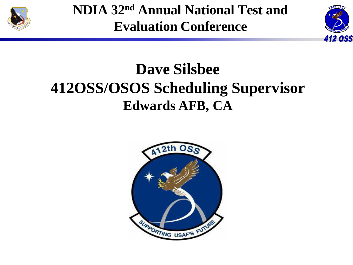

**NDIA 32nd Annual National Test and Evaluation Conference**



## **Dave Silsbee 412OSS/OSOS Scheduling Supervisor Edwards AFB, CA**

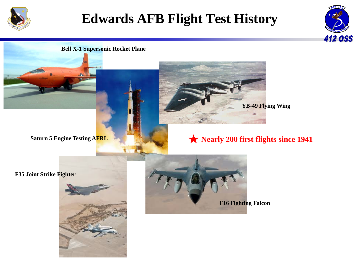

## **Edwards AFB Flight Test History**



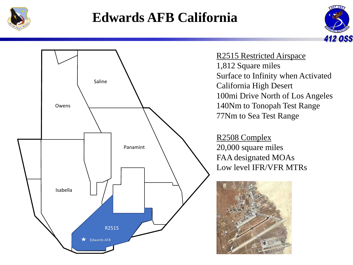![](_page_2_Picture_0.jpeg)

## **Edwards AFB California**

![](_page_2_Picture_2.jpeg)

![](_page_2_Figure_3.jpeg)

R2515 Restricted Airspace 1,812 Square miles Surface to Infinity when Activated California High Desert 100mi Drive North of Los Angeles 140Nm to Tonopah Test Range 77Nm to Sea Test Range

R2508 Complex 20,000 square miles FAA designated MOAs Low level IFR/VFR MTRs

![](_page_2_Picture_6.jpeg)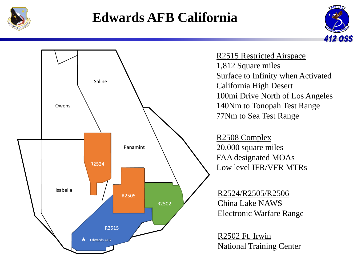![](_page_3_Picture_0.jpeg)

## **Edwards AFB California**

![](_page_3_Picture_2.jpeg)

![](_page_3_Figure_3.jpeg)

R2515 Restricted Airspace 1,812 Square miles Surface to Infinity when Activated California High Desert 100mi Drive North of Los Angeles 140Nm to Tonopah Test Range 77Nm to Sea Test Range

R2508 Complex 20,000 square miles FAA designated MOAs Low level IFR/VFR MTRs

R2524/R2505/R2506 China Lake NAWS Electronic Warfare Range

R2502 Ft. Irwin National Training Center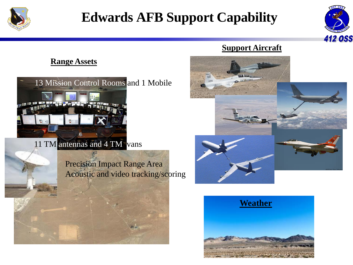![](_page_4_Picture_0.jpeg)

## **Edwards AFB Support Capability**

![](_page_4_Picture_2.jpeg)

#### **Range Assets**

![](_page_4_Picture_4.jpeg)

11 TM antennas and 4 TM vans

Precision Impact Range Area Acoustic and video tracking/scoring

#### **Support Aircraft**

![](_page_4_Picture_8.jpeg)

![](_page_4_Picture_9.jpeg)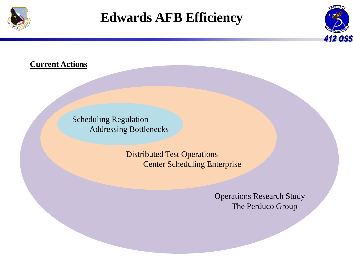![](_page_5_Picture_0.jpeg)

### **Edwards AFB Efficiency**

![](_page_5_Picture_2.jpeg)

#### **Current Actions**

Scheduling Regulation Addressing Bottlenecks

> Distributed Test Operations Center Scheduling Enterprise

> > Operations Research Study The Perduco Group